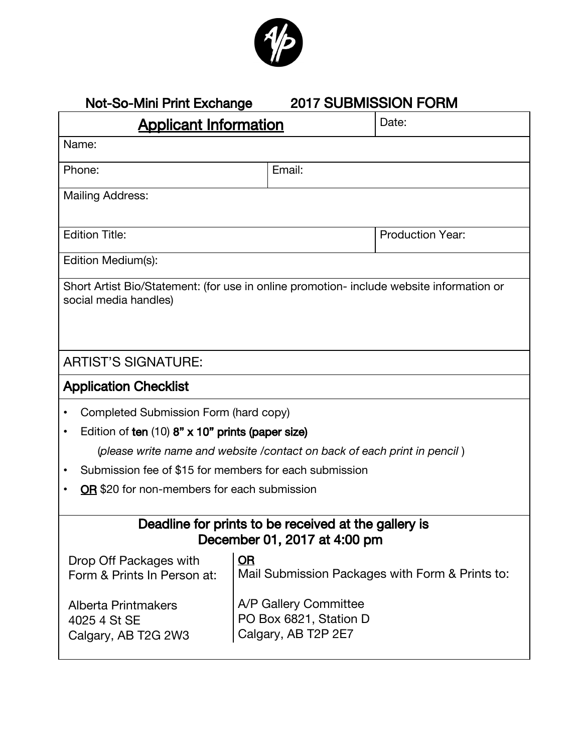

### Not-So-Mini Print Exchange 2017 SUBMISSION FORM

| <b>Applicant Information</b>                                                                                      |                                                                        | Date:                                           |  |
|-------------------------------------------------------------------------------------------------------------------|------------------------------------------------------------------------|-------------------------------------------------|--|
| Name:                                                                                                             |                                                                        |                                                 |  |
| Phone:                                                                                                            | Email:                                                                 |                                                 |  |
| <b>Mailing Address:</b>                                                                                           |                                                                        |                                                 |  |
| <b>Edition Title:</b>                                                                                             |                                                                        | <b>Production Year:</b>                         |  |
| Edition Medium(s):                                                                                                |                                                                        |                                                 |  |
| Short Artist Bio/Statement: (for use in online promotion- include website information or<br>social media handles) |                                                                        |                                                 |  |
| <b>ARTIST'S SIGNATURE:</b>                                                                                        |                                                                        |                                                 |  |
| <b>Application Checklist</b>                                                                                      |                                                                        |                                                 |  |
| Completed Submission Form (hard copy)                                                                             |                                                                        |                                                 |  |
| Edition of ten (10) 8" x 10" prints (paper size)<br>$\bullet$                                                     |                                                                        |                                                 |  |
| (please write name and website / contact on back of each print in pencil)                                         |                                                                        |                                                 |  |
| Submission fee of \$15 for members for each submission                                                            |                                                                        |                                                 |  |
| OR \$20 for non-members for each submission                                                                       |                                                                        |                                                 |  |
| Deadline for prints to be received at the gallery is<br>December 01, 2017 at 4:00 pm                              |                                                                        |                                                 |  |
| Drop Off Packages with<br>Form & Prints In Person at:                                                             | OR                                                                     | Mail Submission Packages with Form & Prints to: |  |
| <b>Alberta Printmakers</b><br>4025 4 St SE<br>Calgary, AB T2G 2W3                                                 | A/P Gallery Committee<br>PO Box 6821, Station D<br>Calgary, AB T2P 2E7 |                                                 |  |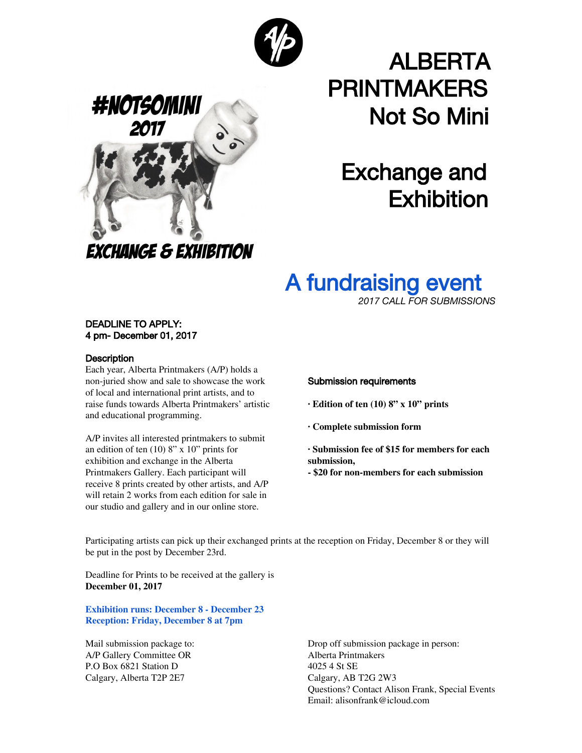



# ALBERTA PRINTMAKERS Not So Mini

## Exchange and **Exhibition**

### A fundraising event

*2017 CALL FOR SUBMISSIONS*

### DEADLINE TO APPLY: 4 pm- December 01, 2017

### **Description**

Each year, Alberta Printmakers (A/P) holds a non-juried show and sale to showcase the work of local and international print artists, and to raise funds towards Alberta Printmakers' artistic and educational programming.

A/P invites all interested printmakers to submit an edition of ten (10) 8" x 10" prints for exhibition and exchange in the Alberta Printmakers Gallery. Each participant will receive 8 prints created by other artists, and A/P will retain 2 works from each edition for sale in our studio and gallery and in our online store.

### Submission requirements

- **· Edition of ten (10) 8" x 10" prints**
- **· Complete submission form**

**· Submission fee of \$15 for members for each submission,**

**- \$20 for non-members for each submission**

Participating artists can pick up their exchanged prints at the reception on Friday, December 8 or they will be put in the post by December 23rd.

Deadline for Prints to be received at the gallery is **December 01, 2017**

**Exhibition runs: December 8 - December 23 Reception: Friday, December 8 at 7pm**

Mail submission package to: A/P Gallery Committee OR P.O Box 6821 Station D Calgary, Alberta T2P 2E7

Drop off submission package in person: Alberta Printmakers 4025 4 St SE Calgary, AB T2G 2W3 Questions? Contact Alison Frank, Special Events Email: alisonfrank@icloud.com